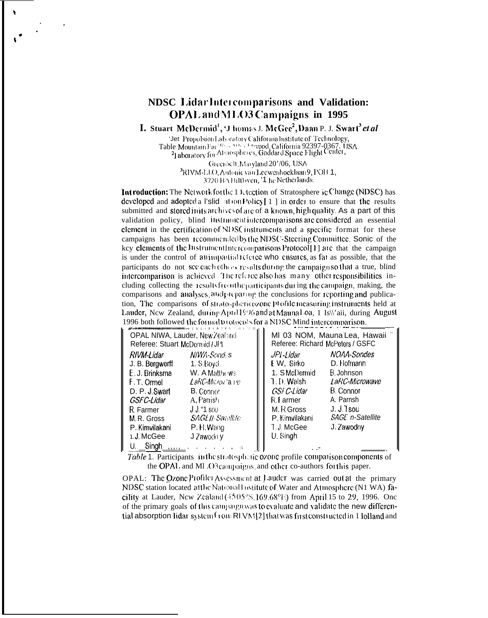## NDSC LidarIntercomparisons and Validation: **OPAL** and MLO3 Campaigns in 1995

I. Stuart McDermid<sup>1</sup>, 'J homas J. McGee<sup>2</sup>, Daan P. J. Swart<sup>3</sup> et al

'Jet Propulsion Laboratory California Institute of Technology, Table Mountain Factures Web Meanwhile the Company of Permone St. 21 aboratory for Atmospheres, Goddard Space Flight Center,

Greenbelt, Maryland 20'/06, USA <sup>3</sup>RIVM-LLO, Antonic van Leewenhoeklaan 9, POB 1, 3720 BA Bilthven, '1 he Netherlands.

**Introduction:** The Network for the 1 Exection of Stratosphere ic Change (NDSC) has developed and adopted a l'slid at ion Policy [1] in order to ensure that the results submitted and stored in its archives of are of a known, high quality. As a part of this validation policy, blind instrument intercomparisons are considered an essential element in the certification of NDSC instruments and a specific format for these campaigns has been recommended by the NDSC-Steering Committee. Sonic of the key clements of the Instrument Intercomparisons Protocol [1] are that the campaign is under the control of animpartial it force who ensures, as fat as possible, that the participants do not see each others results during the campaign so that a true, blind intercomparison is achieved. The referee also has many other responsibilities including collecting the results from the participants during the campaign, making, the comparisons and analyses, and preparing the conclusions for reporting and publication, The comparisons of stratosphericozone profile measuring instruments held at Lauder, New Zealand, during April 1996 and at Maunal .0a, 1 Is | aii, during August 1996 both followed the formal protocols for a NDSC Mind intercomparison.

| OPAL NIWA, Lauder, New Zealand | MI 03 NOM, Mauna Lea, Hawaii     |  |  |  |
|--------------------------------|----------------------------------|--|--|--|
| Referee: Stuart McDemid / JF1  | Referee: Richard McPeters / GSFC |  |  |  |
| N/WA-Sondi s                   | NOAA-Sondes                      |  |  |  |
| RIVM-Lidar                     | JPI-Lidar                        |  |  |  |
| J. B. Bergwerff                | D. Hofmann                       |  |  |  |
| 1. S. Boyd                     | E W, Sirko                       |  |  |  |
| E. J. Brinksma                 | 1. S McDermid                    |  |  |  |
| W. A Matthews                  | B. Johnson                       |  |  |  |
| LaRC-Micron'a re-              | 1.D Walsh                        |  |  |  |
| F.T. Omel                      | LaRC-Microwave                   |  |  |  |
| D. P. J. Swart                 | GSF C-Lidar                      |  |  |  |
| <b>B.</b> Connor               | B. Connor                        |  |  |  |
| A, Panish                      | A. Parnsh                        |  |  |  |
| GSFC-Lidar                     | R.Farmer                         |  |  |  |
| $J J$ "1 sou                   | J. J. Tsou                       |  |  |  |
| R. Farmer                      | M. R Gross                       |  |  |  |
| <b>SAGE II</b> Satellite       | SAGE n-Satellite                 |  |  |  |
| M. R. Gross                    | P. Kimvilakani                   |  |  |  |
| P. H. Wang                     | T.J McGee                        |  |  |  |
| P. Kimvilakani                 | J. Zawodny                       |  |  |  |
| 1. J. McGee<br>J Zawodniy      | U. Singh                         |  |  |  |
| U. Singh<br>111.1              |                                  |  |  |  |
|                                |                                  |  |  |  |

*Table* 1. Participants in the stratespheric ozone profile comparison components of the OPAL and ML O3 campaigns, and other co-authors for this paper.

OPAL: The Ozone Profiler Assessment at Lauder was carried out at the primary NDSC station located atthe National Listitute of Water and Atmosphere (N1 WA) facility at Lauder, New Zealand (4505°S, 169.68°E) from April 15 to 29, 1996. One of the primary goals of this campaign was to evaluate and validate the new differential absorption lidar system  $\int$  con RI VM[2] that was first constructed in 1 lolland and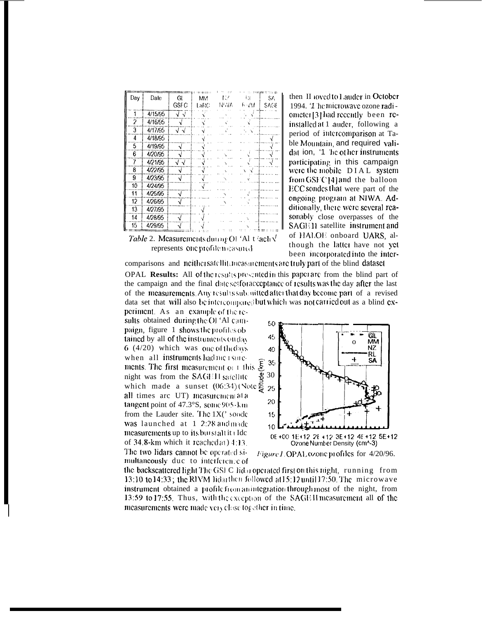| Day | Date    | Gl<br><b>GSFC</b>            | <b>MM</b><br>LaRC | W<br>NUVA | 431<br>F⊹VM | SA.<br><b>SAGE</b> |
|-----|---------|------------------------------|-------------------|-----------|-------------|--------------------|
| 1   | 4/15/95 | $\overline{\sqrt{\sqrt{2}}}$ |                   |           |             |                    |
| 2   | 4/16/95 | J                            |                   |           |             |                    |
| 3   | 4/17/95 | √√                           |                   |           |             |                    |
| 4   | 4/18/95 |                              |                   |           |             |                    |
| 5   | 4/19/95 | √                            |                   |           |             |                    |
| 6   | 4/20/95 |                              |                   |           |             |                    |
| 7   | 4/21/95 | √√                           |                   |           |             |                    |
| 8   | 4/22/95 | N                            |                   |           |             |                    |
| 9   | 4/23/95 | √                            |                   |           |             |                    |
| 10  | 4/24/95 |                              |                   |           |             |                    |
| 11  | 4/25/95 | J                            |                   |           |             |                    |
| 12  | 4/26/95 | √                            |                   |           |             |                    |
| 13  | 4/27/95 |                              |                   |           |             |                    |
| 14  | 4/28/95 |                              |                   |           |             |                    |
| 15  | 4/29/95 |                              |                   |           |             |                    |



then II loved to Lauder in October 1994. '1 he microwave ozone radiometer [3] had recently been reinstalled at 1 auder, following a period of intercomparison at Table Mountain, and required validat ion, '1 he other instruments participating in this campaign were the mobile DIAL system from GSF C[4] and the balloon ECC sondes that were part of the ongoing program at NIWA, Additionally, there were several reasonably close overpasses of the SAGE 11 satellite instrument and of HALOE onboard UARS, although the latter have not yet been incorporated into the inter-

comparisons and neithersatellity measurements are truly part of the blind dataset

OPAL Results: All of the results presented in this paper are from the blind part of the campaign and the final dateset for acceptance of results was the day after the last of the measurements. Any results subsuitted after that day become part of a revised data set that will also be intercompared but which was not carried out as a blind ex-

periment. As an example of the results obtained during the OI 'Al campaign, figure 1 shows the profiles ob tained by all of the instruments on day  $6(4/20)$  which was one of the days when all instruments had me I surements. The first measurement of 1 this  $\overline{\xi}$ night was from the  $SAGH11$  satellite which made a sunset  $(06.34)$  (Note  $\frac{25}{27}$ all times arc UT) measurementata tangent point of  $47.3^\circ$ S, some  $905 \cdot k$ m from the Lauder site. The 1X(' sonde was launched at 1 2:28 and made measurements up to its burstall it (Ide of  $34.8$ -km which it reached at  $14.13$ The two lidars cannot be operated simultaneously due to interference of





the backscattered light The GSI C lidar operated first on this night, running from 13:10 to 14:33; the RIVM lidarthen followed at 15:12 until 17:50. The microwave instrument obtained a profile from an integration through most of the night, from 13:59 to 17:55. Thus, with the exception of the SAGE II measurement all of the measurements were made very close together in time.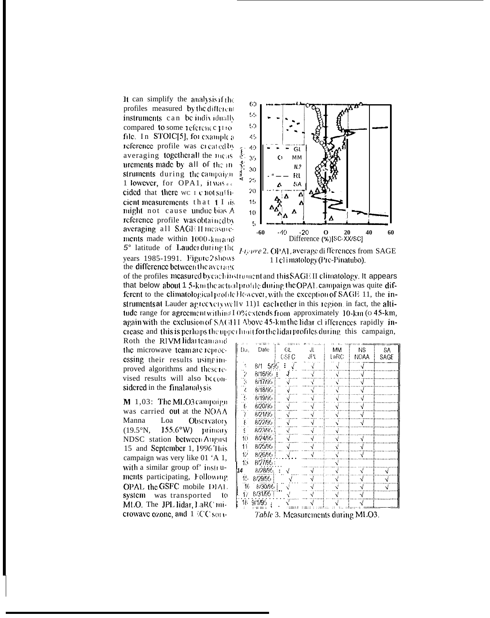It can simplify the analysis if the profiles measured by the different instruments can be individually compared to some reference trio file. In STOIC[5], for example a reference profile was created by averaging togetherall the meas urements made by all of the instruments during the campaign 1 lowever, for OPA1, it was de cided that there we I c not sufficient measurements  $that$   $f$   $f$   $is$ might not cause undue bias A reference profile was obtained by averaging all SAGE II measurements made within 1000-km and 5° latitude of Lauder during the years 1985-1991. Figure 2 shows the difference between the average



Figure 2. OPAL average di fferences from SAGE 1 I climatology (Pre-Pinatubo).

of the profiles measured by cachinstrument and this SAGE II climatology. It appears that below about 1.5-km the actual profile during the OPAL campaign was quite different to the climatological profile However, with the exception of SAGE 11, the instruments at Lauder agree verywell v 11)1 each other in this region, in fact, the altitude range for agreement within 3 I 0% extends from approximately 10-km (o 45-km, again with the exclusion of SAGHI Above 45-km the lidar of ifferences rapidly increase and this is perhaps the upperlimit for the lidar profiles during this campaign,

Roth the RIVM lidarteam and the microwave team are reprocessing their results using improved algorithms and these revised results will also becomsidered in the final analysis

M 1,03: The MLO3 campaign was carried out at the  $NOAA$ Manna Loa Observatory  $155.6^{\circ}$ W) primary  $(19.5^{\circ}N)$ . **NDSC** station between August 15 and September 1, 1996 This campaign was very like 01 'A 1, with a similar group of' instruments participating, Following OPAL the GSFC mobile DIAL system was transported to MLO. The JPL lidar, LaRC microwave ozone, and 1 CC son-

| Da,                                      | Date         | GL<br>GSFC | JL.<br>JPL | МM<br>LaRC    | NS.<br><b>NOAA</b> | SA<br>SAGE |  |  |  |
|------------------------------------------|--------------|------------|------------|---------------|--------------------|------------|--|--|--|
|                                          |              |            |            |               |                    |            |  |  |  |
|                                          | 871<br>-5795 | Ĩ.         |            |               | √                  |            |  |  |  |
| Ž                                        | 8/16/95      |            |            | √             | $\sqrt{}$          |            |  |  |  |
| i.<br>3                                  | 8/17/95      |            |            |               | $\sqrt{}$          |            |  |  |  |
| $\frac{2}{5}$                            | 8/18/95      |            |            | √             | √                  |            |  |  |  |
|                                          | 8/19/95      | V          | $\sqrt{}$  | V             | √                  |            |  |  |  |
| 6                                        | 8/20/95      | V          |            |               | √                  |            |  |  |  |
|                                          | 8/21/95      | √          |            | $\mathbf{v}'$ | $\sqrt{}$          |            |  |  |  |
|                                          | 8/22/95      | √          |            |               | √                  |            |  |  |  |
| ç.                                       | 8/23/95      | √          |            | √             |                    |            |  |  |  |
| 10                                       | 8/24/95      | -J         |            | √             | $\sqrt{}$          |            |  |  |  |
| 11                                       | 8/25/95      | √          |            | √             | $\sqrt{}$          |            |  |  |  |
| Ÿ.                                       | 8/26/95      |            |            | √             | $\sqrt{}$          |            |  |  |  |
| 13                                       | 8/27/95:     |            |            | √             |                    |            |  |  |  |
| 14                                       | 8/28/95      |            |            | $\sqrt{}$     | √                  | $\sqrt{}$  |  |  |  |
| 16                                       | 8/29/95      |            |            | √             | √                  | √          |  |  |  |
| 76                                       | 8/30/95      |            |            | √             | √                  | √          |  |  |  |
| ŤΖ                                       | 8/31/953     |            |            |               |                    |            |  |  |  |
| 18                                       | 9/1/95       |            |            |               |                    |            |  |  |  |
| Tahle 3<br>MLO3<br>Measuren<br>te durino |              |            |            |               |                    |            |  |  |  |